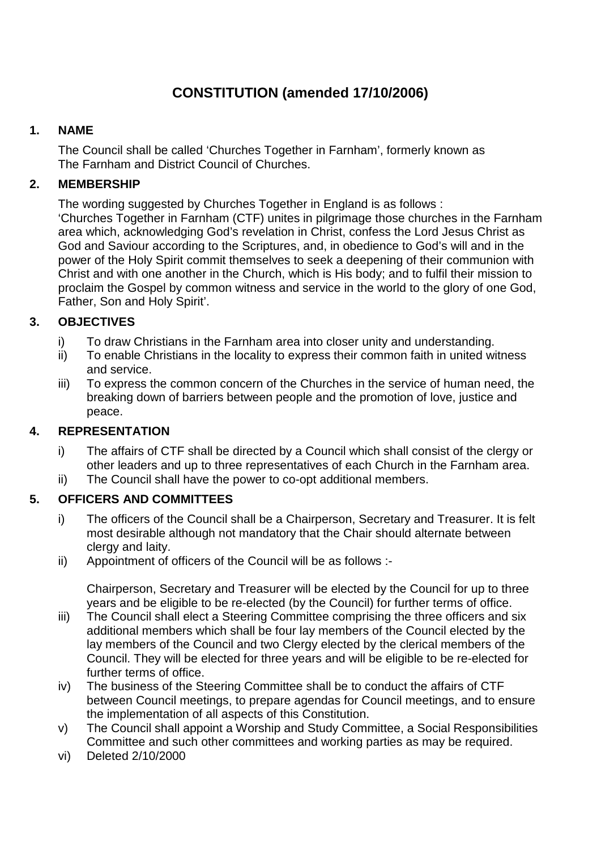# **CONSTITUTION (amended 17/10/2006)**

## **1. NAME**

The Council shall be called 'Churches Together in Farnham', formerly known as The Farnham and District Council of Churches.

## **2. MEMBERSHIP**

The wording suggested by Churches Together in England is as follows : 'Churches Together in Farnham (CTF) unites in pilgrimage those churches in the Farnham area which, acknowledging God's revelation in Christ, confess the Lord Jesus Christ as God and Saviour according to the Scriptures, and, in obedience to God's will and in the power of the Holy Spirit commit themselves to seek a deepening of their communion with Christ and with one another in the Church, which is His body; and to fulfil their mission to proclaim the Gospel by common witness and service in the world to the glory of one God, Father, Son and Holy Spirit'.

# **3. OBJECTIVES**

- i) To draw Christians in the Farnham area into closer unity and understanding.
- ii) To enable Christians in the locality to express their common faith in united witness and service.
- iii) To express the common concern of the Churches in the service of human need, the breaking down of barriers between people and the promotion of love, justice and peace.

## **4. REPRESENTATION**

- i) The affairs of CTF shall be directed by a Council which shall consist of the clergy or other leaders and up to three representatives of each Church in the Farnham area.
- ii) The Council shall have the power to co-opt additional members.

#### **5. OFFICERS AND COMMITTEES**

- i) The officers of the Council shall be a Chairperson, Secretary and Treasurer. It is felt most desirable although not mandatory that the Chair should alternate between clergy and laity.
- ii) Appointment of officers of the Council will be as follows :-

Chairperson, Secretary and Treasurer will be elected by the Council for up to three years and be eligible to be re-elected (by the Council) for further terms of office.

- iii) The Council shall elect a Steering Committee comprising the three officers and six additional members which shall be four lay members of the Council elected by the lay members of the Council and two Clergy elected by the clerical members of the Council. They will be elected for three years and will be eligible to be re-elected for further terms of office.
- iv) The business of the Steering Committee shall be to conduct the affairs of CTF between Council meetings, to prepare agendas for Council meetings, and to ensure the implementation of all aspects of this Constitution.
- v) The Council shall appoint a Worship and Study Committee, a Social Responsibilities Committee and such other committees and working parties as may be required.
- vi) Deleted 2/10/2000